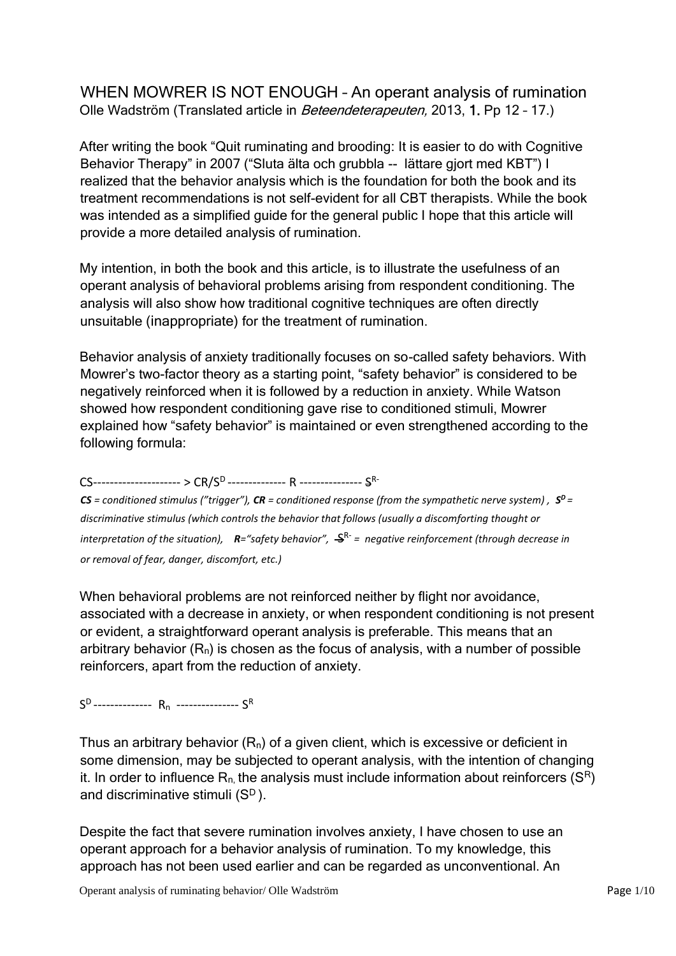WHEN MOWRER IS NOT ENOUGH – An operant analysis of rumination Olle Wadström (Translated article in Beteendeterapeuten, 2013, 1. Pp 12 – 17.)

After writing the book "Quit ruminating and brooding: It is easier to do with Cognitive Behavior Therapy" in 2007 ("Sluta älta och grubbla -- lättare gjort med KBT") I realized that the behavior analysis which is the foundation for both the book and its treatment recommendations is not self-evident for all CBT therapists. While the book was intended as a simplified guide for the general public I hope that this article will provide a more detailed analysis of rumination.

My intention, in both the book and this article, is to illustrate the usefulness of an operant analysis of behavioral problems arising from respondent conditioning. The analysis will also show how traditional cognitive techniques are often directly unsuitable (inappropriate) for the treatment of rumination.

Behavior analysis of anxiety traditionally focuses on so-called safety behaviors. With Mowrer's two-factor theory as a starting point, "safety behavior" is considered to be negatively reinforced when it is followed by a reduction in anxiety. While Watson showed how respondent conditioning gave rise to conditioned stimuli, Mowrer explained how "safety behavior" is maintained or even strengthened according to the following formula:

CS--------------------- > CR/S<sup>D</sup> -------------- R --------------- S R-

 $CS$  = conditioned stimulus ("trigger"),  $CR$  = conditioned response (from the sympathetic nerve system),  $S^D$  = *discriminative stimulus (which controls the behavior that follows (usually a discomforting thought or*  interpretation of the situation),  $\,$  **R**="safety behavior",  $\,$   $\!$   $\!$  = negative reinforcement (through decrease in *or removal of fear, danger, discomfort, etc.)* 

When behavioral problems are not reinforced neither by flight nor avoidance, associated with a decrease in anxiety, or when respondent conditioning is not present or evident, a straightforward operant analysis is preferable. This means that an arbitrary behavior  $(R_n)$  is chosen as the focus of analysis, with a number of possible reinforcers, apart from the reduction of anxiety.

 $S^D$ ---------------  $R_n$  ----------------  $S^R$ 

Thus an arbitrary behavior  $(R_n)$  of a given client, which is excessive or deficient in some dimension, may be subjected to operant analysis, with the intention of changing it. In order to influence  $R_n$  the analysis must include information about reinforcers ( $S^R$ ) and discriminative stimuli (S<sup>D</sup>).

Despite the fact that severe rumination involves anxiety, I have chosen to use an operant approach for a behavior analysis of rumination. To my knowledge, this approach has not been used earlier and can be regarded as unconventional. An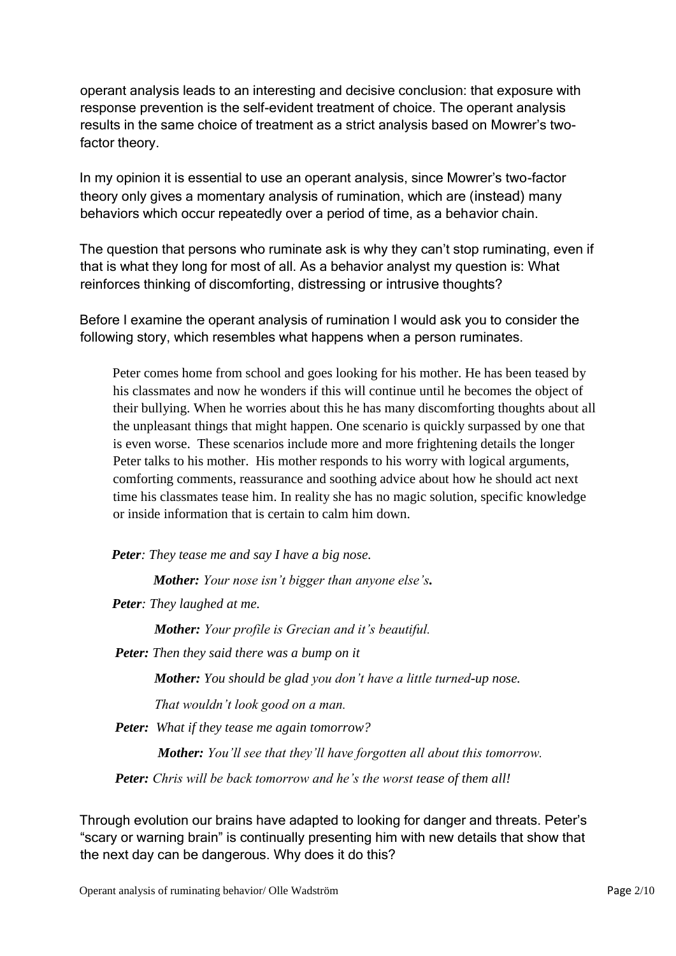operant analysis leads to an interesting and decisive conclusion: that exposure with response prevention is the self-evident treatment of choice. The operant analysis results in the same choice of treatment as a strict analysis based on Mowrer's twofactor theory.

In my opinion it is essential to use an operant analysis, since Mowrer's two-factor theory only gives a momentary analysis of rumination, which are (instead) many behaviors which occur repeatedly over a period of time, as a behavior chain.

The question that persons who ruminate ask is why they can't stop ruminating, even if that is what they long for most of all. As a behavior analyst my question is: What reinforces thinking of discomforting, distressing or intrusive thoughts?

Before I examine the operant analysis of rumination I would ask you to consider the following story, which resembles what happens when a person ruminates.

Peter comes home from school and goes looking for his mother. He has been teased by his classmates and now he wonders if this will continue until he becomes the object of their bullying. When he worries about this he has many discomforting thoughts about all the unpleasant things that might happen. One scenario is quickly surpassed by one that is even worse. These scenarios include more and more frightening details the longer Peter talks to his mother. His mother responds to his worry with logical arguments, comforting comments, reassurance and soothing advice about how he should act next time his classmates tease him. In reality she has no magic solution, specific knowledge or inside information that is certain to calm him down.

*Peter: They tease me and say I have a big nose.* 

 *Mother: Your nose isn't bigger than anyone else's.* 

*Peter: They laughed at me.* 

*Mother: Your profile is Grecian and it's beautiful.* 

*Peter: Then they said there was a bump on it* 

*Mother: You should be glad you don't have a little turned-up nose.* 

*That wouldn't look good on a man.* 

*Peter: What if they tease me again tomorrow?* 

*Mother: You'll see that they'll have forgotten all about this tomorrow.* 

*Peter: Chris will be back tomorrow and he's the worst tease of them all!* 

Through evolution our brains have adapted to looking for danger and threats. Peter's "scary or warning brain" is continually presenting him with new details that show that the next day can be dangerous. Why does it do this?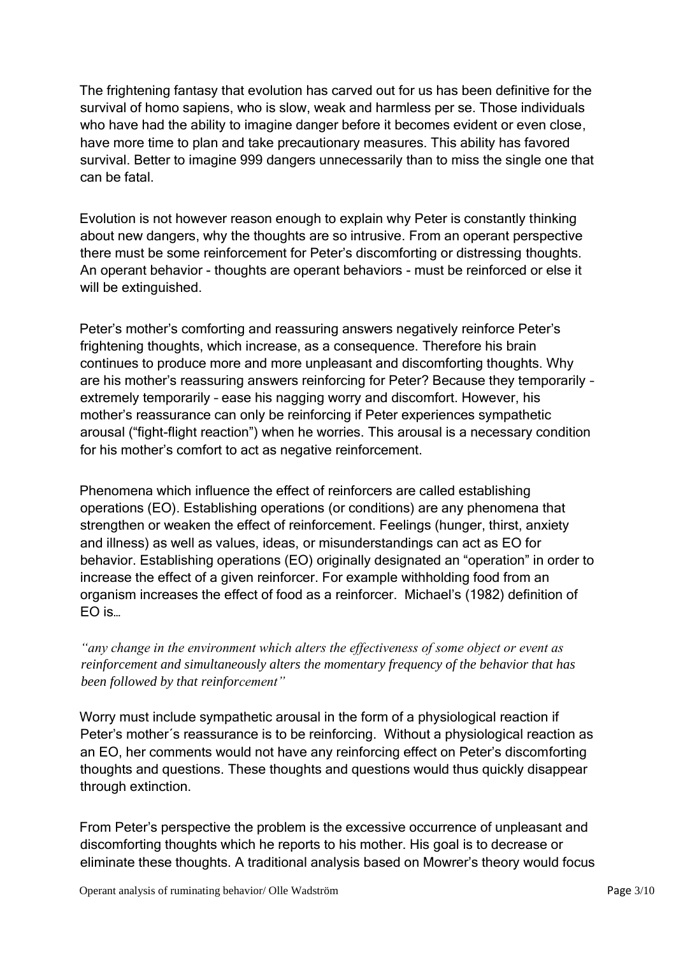The frightening fantasy that evolution has carved out for us has been definitive for the survival of homo sapiens, who is slow, weak and harmless per se. Those individuals who have had the ability to imagine danger before it becomes evident or even close, have more time to plan and take precautionary measures. This ability has favored survival. Better to imagine 999 dangers unnecessarily than to miss the single one that can be fatal.

Evolution is not however reason enough to explain why Peter is constantly thinking about new dangers, why the thoughts are so intrusive. From an operant perspective there must be some reinforcement for Peter's discomforting or distressing thoughts. An operant behavior - thoughts are operant behaviors - must be reinforced or else it will be extinguished.

Peter's mother's comforting and reassuring answers negatively reinforce Peter's frightening thoughts, which increase, as a consequence. Therefore his brain continues to produce more and more unpleasant and discomforting thoughts. Why are his mother's reassuring answers reinforcing for Peter? Because they temporarily – extremely temporarily – ease his nagging worry and discomfort. However, his mother's reassurance can only be reinforcing if Peter experiences sympathetic arousal ("fight-flight reaction") when he worries. This arousal is a necessary condition for his mother's comfort to act as negative reinforcement.

Phenomena which influence the effect of reinforcers are called establishing operations (EO). Establishing operations (or conditions) are any phenomena that strengthen or weaken the effect of reinforcement. Feelings (hunger, thirst, anxiety and illness) as well as values, ideas, or misunderstandings can act as EO for behavior. Establishing operations (EO) originally designated an "operation" in order to increase the effect of a given reinforcer. For example withholding food from an organism increases the effect of food as a reinforcer. Michael's (1982) definition of EO is…

*"any change in the environment which alters the effectiveness of some object or event as reinforcement and simultaneously alters the momentary frequency of the behavior that has been followed by that reinforcement"* 

Worry must include sympathetic arousal in the form of a physiological reaction if Peter's mother´s reassurance is to be reinforcing. Without a physiological reaction as an EO, her comments would not have any reinforcing effect on Peter's discomforting thoughts and questions. These thoughts and questions would thus quickly disappear through extinction.

From Peter's perspective the problem is the excessive occurrence of unpleasant and discomforting thoughts which he reports to his mother. His goal is to decrease or eliminate these thoughts. A traditional analysis based on Mowrer's theory would focus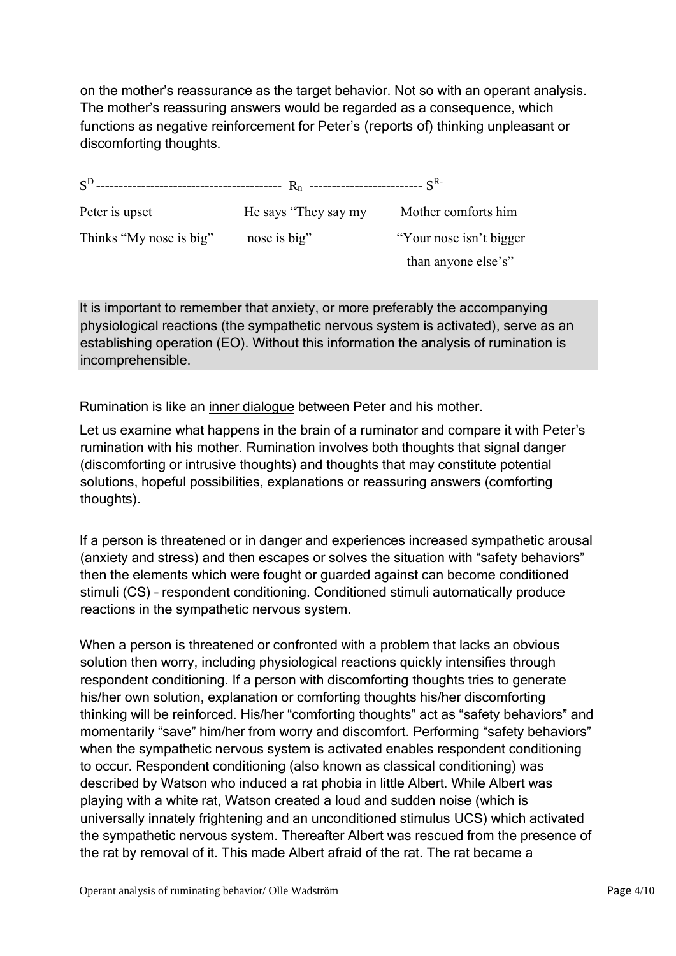on the mother's reassurance as the target behavior. Not so with an operant analysis. The mother's reassuring answers would be regarded as a consequence, which functions as negative reinforcement for Peter's (reports of) thinking unpleasant or discomforting thoughts.

| Peter is upset          | He says "They say my | Mother comforts him     |  |
|-------------------------|----------------------|-------------------------|--|
| Thinks "My nose is big" | nose is big"         | "Your nose isn't bigger |  |
|                         |                      | than anyone else's"     |  |

It is important to remember that anxiety, or more preferably the accompanying physiological reactions (the sympathetic nervous system is activated), serve as an establishing operation (EO). Without this information the analysis of rumination is incomprehensible.

Rumination is like an inner dialogue between Peter and his mother.

Let us examine what happens in the brain of a ruminator and compare it with Peter's rumination with his mother. Rumination involves both thoughts that signal danger (discomforting or intrusive thoughts) and thoughts that may constitute potential solutions, hopeful possibilities, explanations or reassuring answers (comforting thoughts).

If a person is threatened or in danger and experiences increased sympathetic arousal (anxiety and stress) and then escapes or solves the situation with "safety behaviors" then the elements which were fought or guarded against can become conditioned stimuli (CS) – respondent conditioning. Conditioned stimuli automatically produce reactions in the sympathetic nervous system.

When a person is threatened or confronted with a problem that lacks an obvious solution then worry, including physiological reactions quickly intensifies through respondent conditioning. If a person with discomforting thoughts tries to generate his/her own solution, explanation or comforting thoughts his/her discomforting thinking will be reinforced. His/her "comforting thoughts" act as "safety behaviors" and momentarily "save" him/her from worry and discomfort. Performing "safety behaviors" when the sympathetic nervous system is activated enables respondent conditioning to occur. Respondent conditioning (also known as classical conditioning) was described by Watson who induced a rat phobia in little Albert. While Albert was playing with a white rat, Watson created a loud and sudden noise (which is universally innately frightening and an unconditioned stimulus UCS) which activated the sympathetic nervous system. Thereafter Albert was rescued from the presence of the rat by removal of it. This made Albert afraid of the rat. The rat became a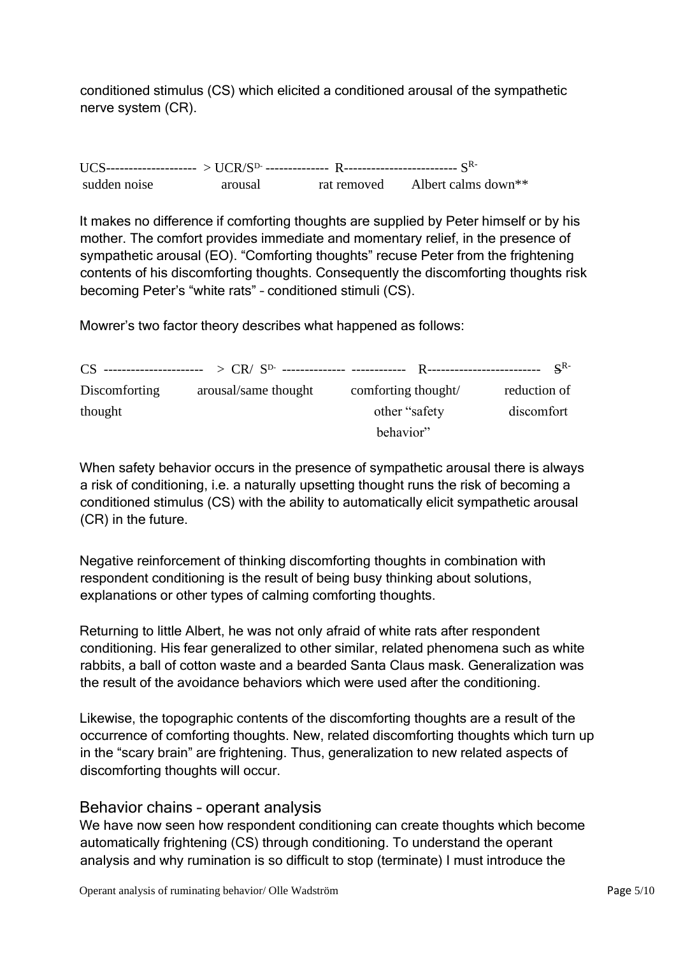conditioned stimulus (CS) which elicited a conditioned arousal of the sympathetic nerve system (CR).

UCS-------------------- > UCR/SD- -------------- R------------------------- S Rsudden noise arousal rat removed Albert calms down\*\*

It makes no difference if comforting thoughts are supplied by Peter himself or by his mother. The comfort provides immediate and momentary relief, in the presence of sympathetic arousal (EO). "Comforting thoughts" recuse Peter from the frightening contents of his discomforting thoughts. Consequently the discomforting thoughts risk becoming Peter's "white rats" – conditioned stimuli (CS).

Mowrer's two factor theory describes what happened as follows:

|                      |                      |                     | $S^{R-}$     |
|----------------------|----------------------|---------------------|--------------|
| <b>Discomforting</b> | arousal/same thought | comforting thought/ | reduction of |
| thought              |                      | other "safety"      | discomfort   |
|                      |                      | behavior"           |              |

When safety behavior occurs in the presence of sympathetic arousal there is always a risk of conditioning, i.e. a naturally upsetting thought runs the risk of becoming a conditioned stimulus (CS) with the ability to automatically elicit sympathetic arousal (CR) in the future.

Negative reinforcement of thinking discomforting thoughts in combination with respondent conditioning is the result of being busy thinking about solutions, explanations or other types of calming comforting thoughts.

Returning to little Albert, he was not only afraid of white rats after respondent conditioning. His fear generalized to other similar, related phenomena such as white rabbits, a ball of cotton waste and a bearded Santa Claus mask. Generalization was the result of the avoidance behaviors which were used after the conditioning.

Likewise, the topographic contents of the discomforting thoughts are a result of the occurrence of comforting thoughts. New, related discomforting thoughts which turn up in the "scary brain" are frightening. Thus, generalization to new related aspects of discomforting thoughts will occur.

### Behavior chains – operant analysis

We have now seen how respondent conditioning can create thoughts which become automatically frightening (CS) through conditioning. To understand the operant analysis and why rumination is so difficult to stop (terminate) I must introduce the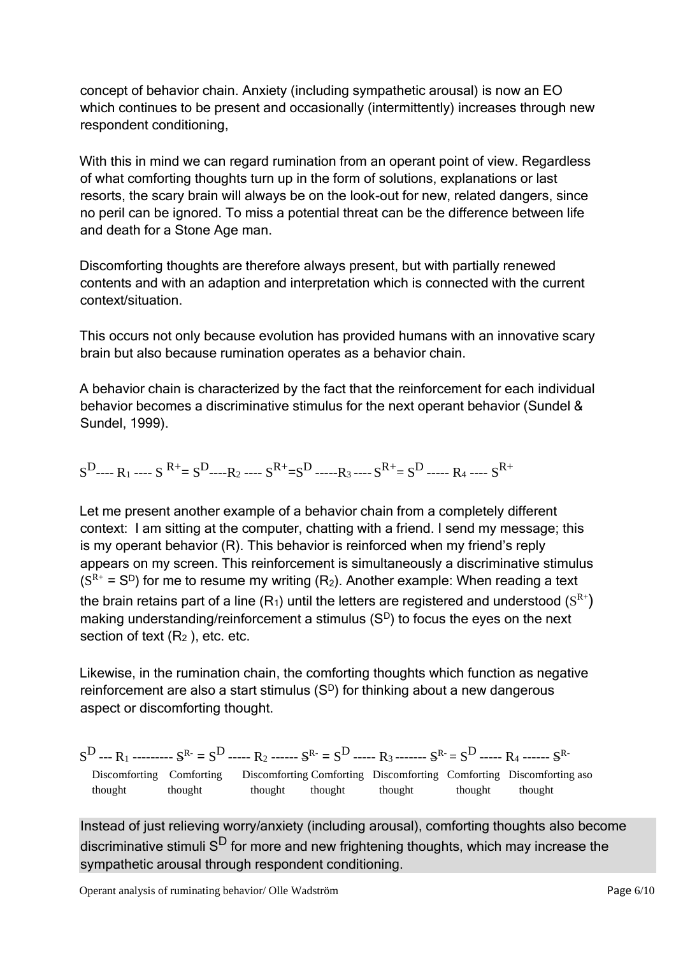concept of behavior chain. Anxiety (including sympathetic arousal) is now an EO which continues to be present and occasionally (intermittently) increases through new respondent conditioning,

With this in mind we can regard rumination from an operant point of view. Regardless of what comforting thoughts turn up in the form of solutions, explanations or last resorts, the scary brain will always be on the look-out for new, related dangers, since no peril can be ignored. To miss a potential threat can be the difference between life and death for a Stone Age man.

Discomforting thoughts are therefore always present, but with partially renewed contents and with an adaption and interpretation which is connected with the current context/situation.

This occurs not only because evolution has provided humans with an innovative scary brain but also because rumination operates as a behavior chain.

A behavior chain is characterized by the fact that the reinforcement for each individual behavior becomes a discriminative stimulus for the next operant behavior (Sundel & Sundel, 1999).

 $S^D$ ---- R<sub>1</sub> ---- S<sup>R+</sup>= S<sup>D</sup>-----R<sub>2</sub> ---- S<sup>R+</sup>=S<sup>D</sup> -----R<sub>3</sub> ---- S<sup>R+</sup>= S<sup>D</sup> ----- R<sub>4</sub> ---- S<sup>R+</sup>

Let me present another example of a behavior chain from a completely different context: I am sitting at the computer, chatting with a friend. I send my message; this is my operant behavior (R). This behavior is reinforced when my friend's reply appears on my screen. This reinforcement is simultaneously a discriminative stimulus  $(S<sup>R+</sup> = S<sup>D</sup>)$  for me to resume my writing (R<sub>2</sub>). Another example: When reading a text the brain retains part of a line (R<sub>1</sub>) until the letters are registered and understood (S<sup>R+</sup>) making understanding/reinforcement a stimulus  $(S<sup>D</sup>)$  to focus the eyes on the next section of text  $(R_2)$ , etc. etc.

Likewise, in the rumination chain, the comforting thoughts which function as negative reinforcement are also a start stimulus  $(S<sup>D</sup>)$  for thinking about a new dangerous aspect or discomforting thought.

 $S^D$  --- R<sub>1</sub> --------- S<sup>R-</sup> = S<sup>D</sup> ----- R<sub>2</sub> ------ S<sup>R-</sup> = S<sup>D</sup> ----- R<sub>3</sub> ------- S<sup>R-</sup> = S<sup>D</sup> ----- R<sub>4</sub> ------ S<sup>R-</sup> Discomforting Comforting Discomforting Comforting Discomforting Comforting Discomforting aso thought thought thought thought thought thought thought

Instead of just relieving worry/anxiety (including arousal), comforting thoughts also become discriminative stimuli  $S<sup>D</sup>$  for more and new frightening thoughts, which may increase the sympathetic arousal through respondent conditioning.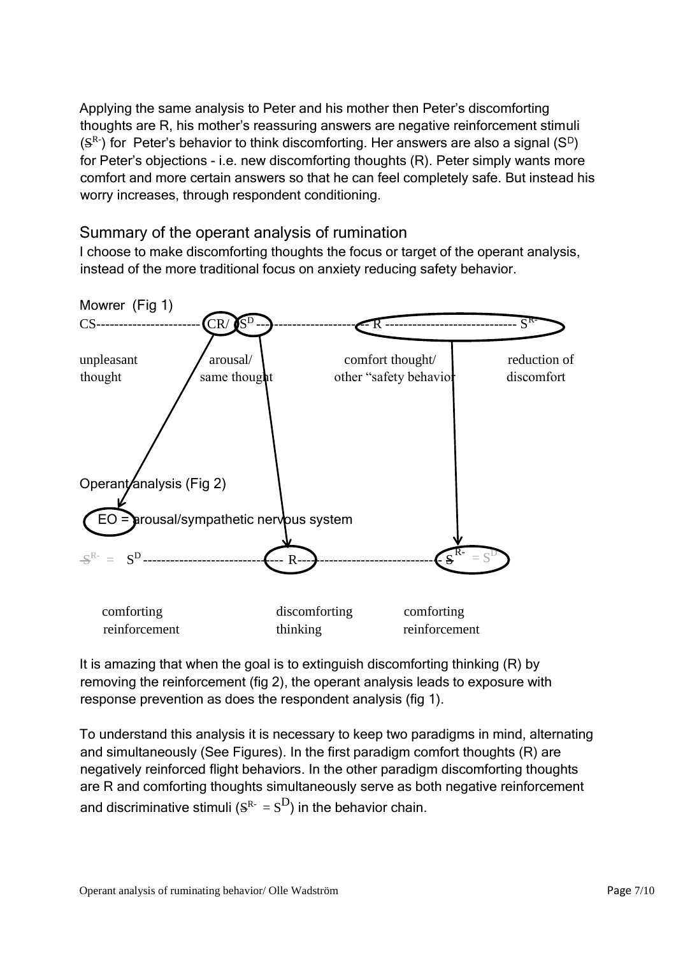Applying the same analysis to Peter and his mother then Peter's discomforting thoughts are R, his mother's reassuring answers are negative reinforcement stimuli  $(S<sup>R</sup>)$  for Peter's behavior to think discomforting. Her answers are also a signal  $(S<sup>D</sup>)$ for Peter's objections - i.e. new discomforting thoughts (R). Peter simply wants more comfort and more certain answers so that he can feel completely safe. But instead his worry increases, through respondent conditioning.

## Summary of the operant analysis of rumination

I choose to make discomforting thoughts the focus or target of the operant analysis, instead of the more traditional focus on anxiety reducing safety behavior.



It is amazing that when the goal is to extinguish discomforting thinking (R) by removing the reinforcement (fig 2), the operant analysis leads to exposure with response prevention as does the respondent analysis (fig 1).

To understand this analysis it is necessary to keep two paradigms in mind, alternating and simultaneously (See Figures). In the first paradigm comfort thoughts (R) are negatively reinforced flight behaviors. In the other paradigm discomforting thoughts are R and comforting thoughts simultaneously serve as both negative reinforcement and discriminative stimuli ( $S^{\text{R-}} = S^{\text{D}}$ ) in the behavior chain.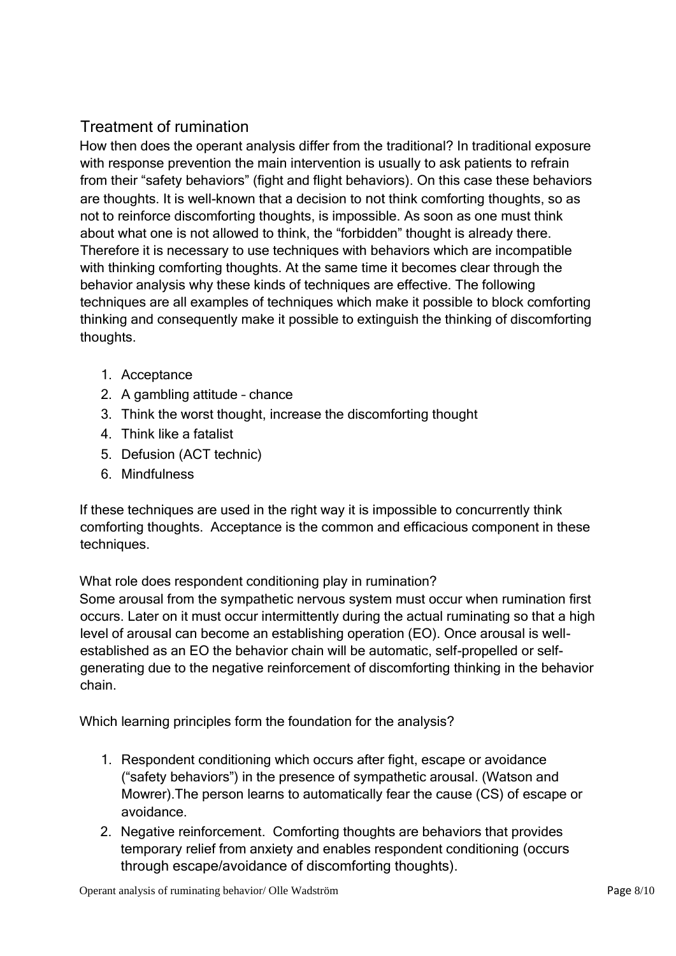# Treatment of rumination

How then does the operant analysis differ from the traditional? In traditional exposure with response prevention the main intervention is usually to ask patients to refrain from their "safety behaviors" (fight and flight behaviors). On this case these behaviors are thoughts. It is well-known that a decision to not think comforting thoughts, so as not to reinforce discomforting thoughts, is impossible. As soon as one must think about what one is not allowed to think, the "forbidden" thought is already there. Therefore it is necessary to use techniques with behaviors which are incompatible with thinking comforting thoughts. At the same time it becomes clear through the behavior analysis why these kinds of techniques are effective. The following techniques are all examples of techniques which make it possible to block comforting thinking and consequently make it possible to extinguish the thinking of discomforting thoughts.

- 1. Acceptance
- 2. A gambling attitude chance
- 3. Think the worst thought, increase the discomforting thought
- 4. Think like a fatalist
- 5. Defusion (ACT technic)
- 6. Mindfulness

If these techniques are used in the right way it is impossible to concurrently think comforting thoughts. Acceptance is the common and efficacious component in these techniques.

What role does respondent conditioning play in rumination?

Some arousal from the sympathetic nervous system must occur when rumination first occurs. Later on it must occur intermittently during the actual ruminating so that a high level of arousal can become an establishing operation (EO). Once arousal is wellestablished as an EO the behavior chain will be automatic, self-propelled or selfgenerating due to the negative reinforcement of discomforting thinking in the behavior chain.

Which learning principles form the foundation for the analysis?

- 1. Respondent conditioning which occurs after fight, escape or avoidance ("safety behaviors") in the presence of sympathetic arousal. (Watson and Mowrer).The person learns to automatically fear the cause (CS) of escape or avoidance.
- 2. Negative reinforcement. Comforting thoughts are behaviors that provides temporary relief from anxiety and enables respondent conditioning (occurs through escape/avoidance of discomforting thoughts).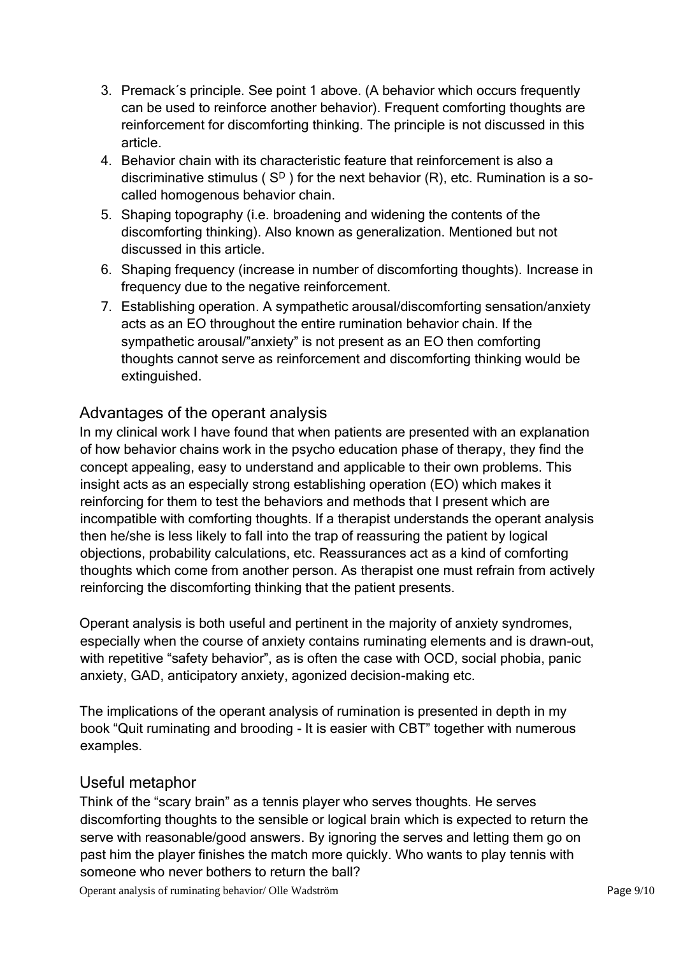- 3. Premack´s principle. See point 1 above. (A behavior which occurs frequently can be used to reinforce another behavior). Frequent comforting thoughts are reinforcement for discomforting thinking. The principle is not discussed in this article.
- 4. Behavior chain with its characteristic feature that reinforcement is also a discriminative stimulus ( $S<sup>D</sup>$ ) for the next behavior (R), etc. Rumination is a socalled homogenous behavior chain.
- 5. Shaping topography (i.e. broadening and widening the contents of the discomforting thinking). Also known as generalization. Mentioned but not discussed in this article.
- 6. Shaping frequency (increase in number of discomforting thoughts). Increase in frequency due to the negative reinforcement.
- 7. Establishing operation. A sympathetic arousal/discomforting sensation/anxiety acts as an EO throughout the entire rumination behavior chain. If the sympathetic arousal/"anxiety" is not present as an EO then comforting thoughts cannot serve as reinforcement and discomforting thinking would be extinguished.

# Advantages of the operant analysis

In my clinical work I have found that when patients are presented with an explanation of how behavior chains work in the psycho education phase of therapy, they find the concept appealing, easy to understand and applicable to their own problems. This insight acts as an especially strong establishing operation (EO) which makes it reinforcing for them to test the behaviors and methods that I present which are incompatible with comforting thoughts. If a therapist understands the operant analysis then he/she is less likely to fall into the trap of reassuring the patient by logical objections, probability calculations, etc. Reassurances act as a kind of comforting thoughts which come from another person. As therapist one must refrain from actively reinforcing the discomforting thinking that the patient presents.

Operant analysis is both useful and pertinent in the majority of anxiety syndromes, especially when the course of anxiety contains ruminating elements and is drawn-out, with repetitive "safety behavior", as is often the case with OCD, social phobia, panic anxiety, GAD, anticipatory anxiety, agonized decision-making etc.

The implications of the operant analysis of rumination is presented in depth in my book "Quit ruminating and brooding - It is easier with CBT" together with numerous examples.

### Useful metaphor

Think of the "scary brain" as a tennis player who serves thoughts. He serves discomforting thoughts to the sensible or logical brain which is expected to return the serve with reasonable/good answers. By ignoring the serves and letting them go on past him the player finishes the match more quickly. Who wants to play tennis with someone who never bothers to return the ball?